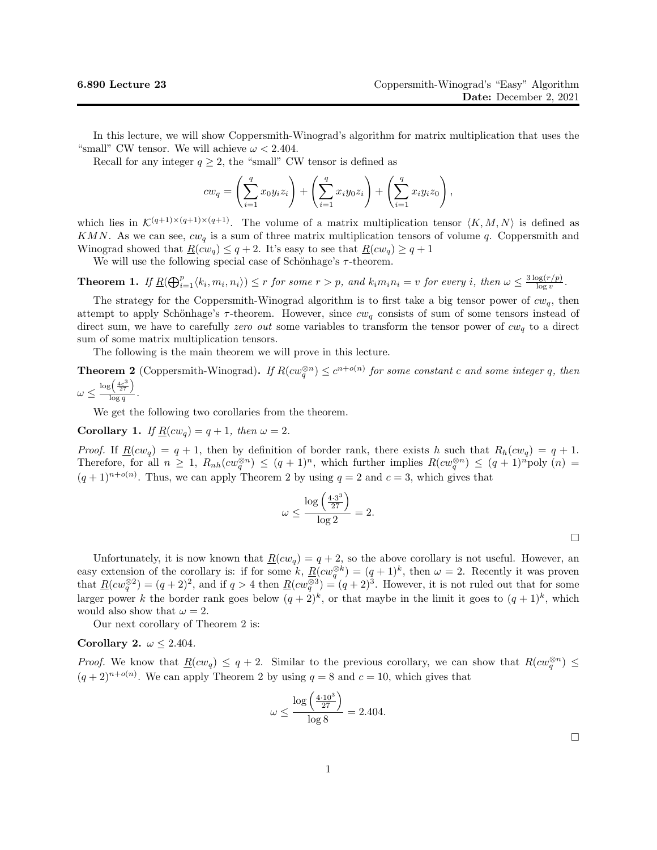In this lecture, we will show Coppersmith-Winograd's algorithm for matrix multiplication that uses the "small" CW tensor. We will achieve  $\omega < 2.404$ .

Recall for any integer  $q \geq 2$ , the "small" CW tensor is defined as

$$
c w_q = \left(\sum_{i=1}^q x_0 y_i z_i\right) + \left(\sum_{i=1}^q x_i y_0 z_i\right) + \left(\sum_{i=1}^q x_i y_i z_0\right),
$$

which lies in  $\mathcal{K}^{(q+1)\times(q+1)\times(q+1)}$ . The volume of a matrix multiplication tensor  $\langle K, M, N \rangle$  is defined as KMN. As we can see,  $cw_q$  is a sum of three matrix multiplication tensors of volume q. Coppersmith and Winograd showed that  $R(cw_q) \leq q+2$ . It's easy to see that  $R(cw_q) \geq q+1$ 

We will use the following special case of Schönhage's  $\tau$ -theorem.

**Theorem 1.** If  $\underline{R}(\bigoplus_{i=1}^p \langle k_i, m_i, n_i \rangle) \leq r$  for some  $r > p$ , and  $k_i m_i n_i = v$  for every i, then  $\omega \leq \frac{3 \log(r/p)}{\log v}$  $\frac{\log(r/p)}{\log v}$ .

The strategy for the Coppersmith-Winograd algorithm is to first take a big tensor power of  $cw_q$ , then attempt to apply Schönhage's  $\tau$ -theorem. However, since  $cw_q$  consists of sum of some tensors instead of direct sum, we have to carefully zero out some variables to transform the tensor power of  $cw_q$  to a direct sum of some matrix multiplication tensors.

The following is the main theorem we will prove in this lecture.

**Theorem 2** (Coppersmith-Winograd). If  $R(cw_q^{\otimes n}) \leq c^{n+o(n)}$  for some constant c and some integer q, then  $\log\left(\frac{4c^3}{27}\right)$ 

$$
\omega \leq \frac{\log(27)}{\log q}.
$$

We get the following two corollaries from the theorem.

Corollary 1. If  $\underline{R}(cw_q) = q + 1$ , then  $\omega = 2$ .

*Proof.* If  $\underline{R}(cw_q) = q + 1$ , then by definition of border rank, there exists h such that  $R_h(cw_q) = q + 1$ . Therefore, for all  $n \geq 1$ ,  $R_{nh}(cw_q^{\otimes n}) \leq (q+1)^n$ , which further implies  $R(cw_q^{\otimes n}) \leq (q+1)^n$  poly  $(n)$  $(q+1)^{n+o(n)}$ . Thus, we can apply Theorem 2 by using  $q=2$  and  $c=3$ , which gives that

$$
\omega \le \frac{\log\left(\frac{4\cdot3^3}{27}\right)}{\log 2} = 2.
$$

Unfortunately, it is now known that  $\underline{R}(cw_q) = q + 2$ , so the above corollary is not useful. However, an easy extension of the corollary is: if for some k,  $\underline{R}(cw_q^{\otimes k}) = (q+1)^k$ , then  $\omega = 2$ . Recently it was proven that  $\underline{R}(cw_q^{\otimes 2}) = (q+2)^2$ , and if  $q > 4$  then  $\underline{R}(cw_q^{\otimes 3}) = (q+2)^3$ . However, it is not ruled out that for some larger power k the border rank goes below  $(q+2)^k$ , or that maybe in the limit it goes to  $(q+1)^k$ , which would also show that  $\omega = 2$ .

Our next corollary of Theorem 2 is:

Corollary 2.  $\omega \leq 2.404$ .

*Proof.* We know that  $\underline{R}(cw_q) \leq q+2$ . Similar to the previous corollary, we can show that  $R(cw_q^{\otimes n}) \leq$  $(q+2)^{n+o(n)}$ . We can apply Theorem 2 by using  $q=8$  and  $c=10$ , which gives that

$$
\omega \le \frac{\log\left(\frac{4 \cdot 10^3}{27}\right)}{\log 8} = 2.404.
$$

 $\Box$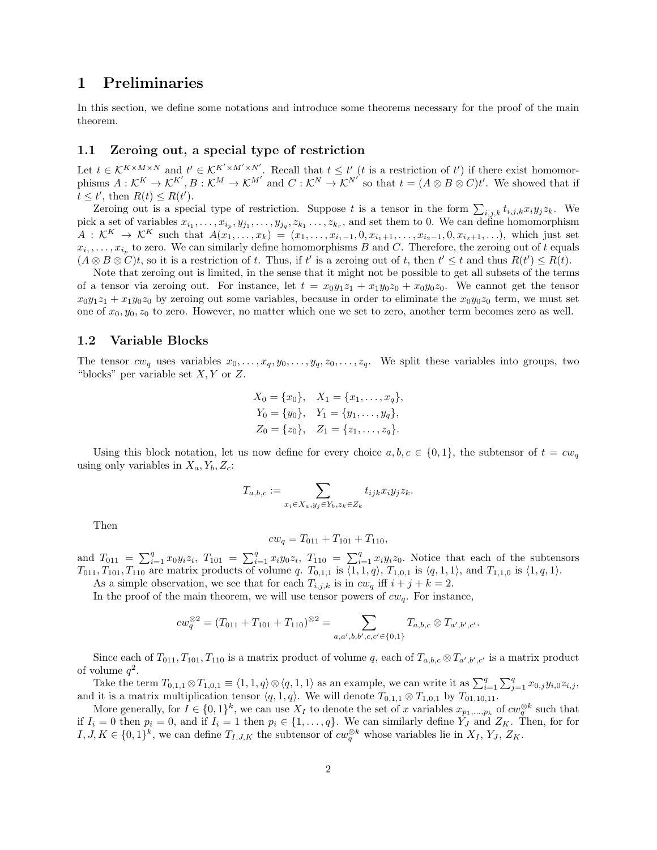## 1 Preliminaries

In this section, we define some notations and introduce some theorems necessary for the proof of the main theorem.

#### 1.1 Zeroing out, a special type of restriction

Let  $t \in \mathcal{K}^{K \times M \times N}$  and  $t' \in \mathcal{K}^{K' \times M' \times N'}$ . Recall that  $t \leq t'$  (t is a restriction of t') if there exist homomorphisms  $A: \mathcal{K}^K \to \mathcal{K}^{K'}, B: \mathcal{K}^M \to \mathcal{K}^{M'}$  and  $C: \mathcal{K}^N \to \mathcal{K}^{N'}$  so that  $t = (A \otimes B \otimes C)t'$ . We showed that if  $t \leq t'$ , then  $R(t) \leq R(t')$ .

Zeroing out is a special type of restriction. Suppose t is a tensor in the form  $\sum_{i,j,k} t_{i,j,k} x_i y_j z_k$ . We pick a set of variables  $x_{i_1}, \ldots, x_{i_p}, y_{j_1}, \ldots, y_{j_q}, z_{k_1}, \ldots, z_{k_r}$ , and set them to 0. We can define homomorphism  $A: \mathcal{K}^K \to \mathcal{K}^K$  such that  $A(x_1, \ldots, x_k) = (x_1, \ldots, x_{i_1-1}, 0, x_{i_1+1}, \ldots, x_{i_2-1}, 0, x_{i_2+1}, \ldots),$  which just set  $x_{i_1}, \ldots, x_{i_p}$  to zero. We can similarly define homomorphisms B and C. Therefore, the zeroing out of t equals  $(A \otimes B \otimes C)t$ , so it is a restriction of t. Thus, if t' is a zeroing out of t, then  $t' \leq t$  and thus  $R(t') \leq R(t)$ .

Note that zeroing out is limited, in the sense that it might not be possible to get all subsets of the terms of a tensor via zeroing out. For instance, let  $t = x_0y_1z_1 + x_1y_0z_0 + x_0y_0z_0$ . We cannot get the tensor  $x_0y_1z_1 + x_1y_0z_0$  by zeroing out some variables, because in order to eliminate the  $x_0y_0z_0$  term, we must set one of  $x_0, y_0, z_0$  to zero. However, no matter which one we set to zero, another term becomes zero as well.

#### 1.2 Variable Blocks

The tensor  $cw_q$  uses variables  $x_0, \ldots, x_q, y_0, \ldots, y_q, z_0, \ldots, z_q$ . We split these variables into groups, two "blocks" per variable set  $X, Y$  or  $Z$ .

$$
X_0 = \{x_0\}, \quad X_1 = \{x_1, \dots, x_q\},
$$
  
\n
$$
Y_0 = \{y_0\}, \quad Y_1 = \{y_1, \dots, y_q\},
$$
  
\n
$$
Z_0 = \{z_0\}, \quad Z_1 = \{z_1, \dots, z_q\}.
$$

Using this block notation, let us now define for every choice  $a, b, c \in \{0, 1\}$ , the subtensor of  $t = cw_q$ using only variables in  $X_a, Y_b, Z_c$ :

$$
T_{a,b,c} := \sum_{x_i \in X_a, y_j \in Y_b, z_k \in Z_k} t_{ijk} x_i y_j z_k.
$$

Then

$$
cw_q = T_{011} + T_{101} + T_{110},
$$

and  $T_{011} = \sum_{i=1}^{q} x_0 y_i z_i$ ,  $T_{101} = \sum_{i=1}^{q} x_i y_0 z_i$ ,  $T_{110} = \sum_{i=1}^{q} x_i y_i z_0$ . Notice that each of the subtensors  $T_{011}, T_{101}, T_{110}$  are matrix products of volume q.  $T_{0,1,1}$  is  $\langle 1, 1, q \rangle$ ,  $T_{1,0,1}$  is  $\langle q, 1, 1 \rangle$ , and  $T_{1,1,0}$  is  $\langle 1, q, 1 \rangle$ .

As a simple observation, we see that for each  $T_{i,j,k}$  is in  $cw_q$  iff  $i + j + k = 2$ .

In the proof of the main theorem, we will use tensor powers of  $cw_q$ . For instance,

$$
cw_q^{\otimes 2} = (T_{011} + T_{101} + T_{110})^{\otimes 2} = \sum_{a,a',b,b',c,c' \in \{0,1\}} T_{a,b,c} \otimes T_{a',b',c'}.
$$

Since each of  $T_{011}, T_{101}, T_{110}$  is a matrix product of volume q, each of  $T_{a,b,c} \otimes T_{a',b',c'}$  is a matrix product of volume  $q^2$ .

Take the term  $T_{0,1,1} \otimes T_{1,0,1} \equiv \langle 1,1,q \rangle \otimes \langle q,1,1 \rangle$  as an example, we can write it as  $\sum_{i=1}^{q} \sum_{j=1}^{q} x_{0,j} y_{i,0} z_{i,j}$ , and it is a matrix multiplication tensor  $\langle q, 1, q \rangle$ . We will denote  $T_{0,1,1} \otimes T_{1,0,1}$  by  $T_{01,10,11}$ .

More generally, for  $I \in \{0,1\}^k$ , we can use  $X_I$  to denote the set of x variables  $x_{p_1,...,p_k}$  of  $cw_q^{\otimes k}$  such that if  $I_i = 0$  then  $p_i = 0$ , and if  $I_i = 1$  then  $p_i \in \{1, \ldots, q\}$ . We can similarly define  $Y_J$  and  $Z_K$ . Then, for for  $I, J, K \in \{0,1\}^k$ , we can define  $T_{I,J,K}$  the subtensor of  $cw_q^{\otimes k}$  whose variables lie in  $X_I, Y_J, Z_K$ .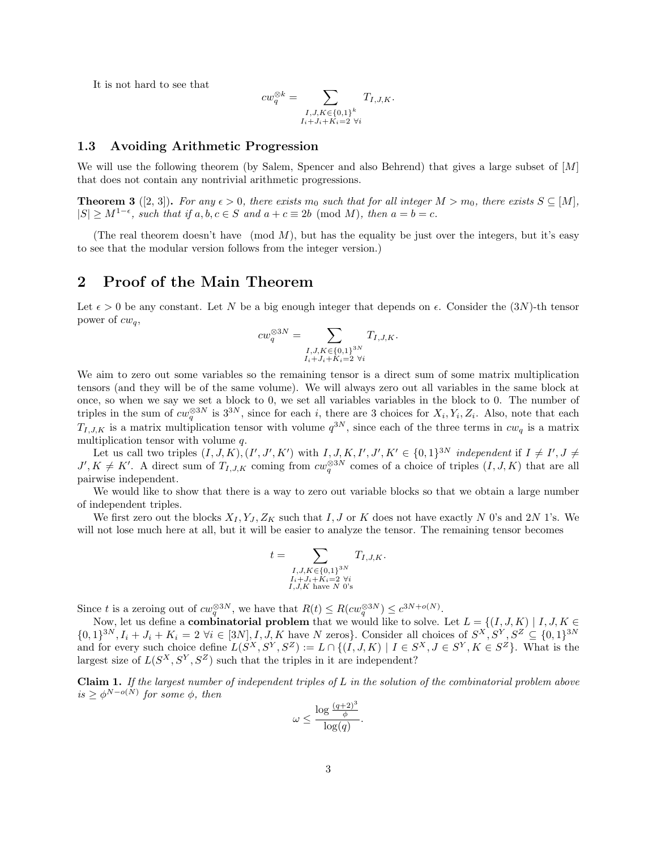It is not hard to see that

$$
cw_q^{\otimes k} = \sum_{\substack{I,J,K \in \{0,1\}^k \\ I_i+J_i+K_i=2 \ \forall i}} T_{I,J,K}.
$$

#### 1.3 Avoiding Arithmetic Progression

We will use the following theorem (by Salem, Spencer and also Behrend) that gives a large subset of [M] that does not contain any nontrivial arithmetic progressions.

**Theorem 3** ([2, 3]). For any  $\epsilon > 0$ , there exists  $m_0$  such that for all integer  $M > m_0$ , there exists  $S \subseteq [M]$ ,  $|S| \ge M^{1-\epsilon}$ , such that if  $a, b, c \in S$  and  $a + c \equiv 2b \pmod{M}$ , then  $a = b = c$ .

(The real theorem doesn't have  $p \mod M$ , but has the equality be just over the integers, but it's easy to see that the modular version follows from the integer version.)

### 2 Proof of the Main Theorem

Let  $\epsilon > 0$  be any constant. Let N be a big enough integer that depends on  $\epsilon$ . Consider the  $(3N)$ -th tensor power of  $cw_q$ ,

$$
cw_q^{\otimes 3N} = \sum_{\substack{I,J,K \in \{0,1\}^{3N} \\ I_i+J_i+K_i=2 \ \forall i}} T_{I,J,K}.
$$

We aim to zero out some variables so the remaining tensor is a direct sum of some matrix multiplication tensors (and they will be of the same volume). We will always zero out all variables in the same block at once, so when we say we set a block to 0, we set all variables variables in the block to 0. The number of triples in the sum of  $cw_q^{\otimes 3N}$  is  $3^{3N}$ , since for each i, there are 3 choices for  $X_i, Y_i, Z_i$ . Also, note that each  $T_{I,J,K}$  is a matrix multiplication tensor with volume  $q^{3N}$ , since each of the three terms in  $cw_q$  is a matrix multiplication tensor with volume q.

Let us call two triples  $(I, J, K), (I', J', K')$  with  $I, J, K, I', J', K' \in \{0, 1\}^{3N}$  independent if  $I \neq I', J \neq I'$  $J', K \neq K'$ . A direct sum of  $T_{I,J,K}$  coming from  $cw_q^{\otimes 3N}$  comes of a choice of triples  $(I, J, K)$  that are all pairwise independent.

We would like to show that there is a way to zero out variable blocks so that we obtain a large number of independent triples.

We first zero out the blocks  $X_I, Y_J, Z_K$  such that I, J or K does not have exactly N 0's and 2N 1's. We will not lose much here at all, but it will be easier to analyze the tensor. The remaining tensor becomes

$$
t = \sum_{\substack{I,J,K \in \{0,1\}^{3N} \\ I_i+J_i+K_i=2 \ \forall i \\ I,J,K \text{ have } N \text{ 0's}}} T_{I,J,K}.
$$

Since t is a zeroing out of  $cw_q^{\otimes 3N}$ , we have that  $R(t) \leq R(cv_q^{\otimes 3N}) \leq c^{3N+o(N)}$ .

Now, let us define a **combinatorial problem** that we would like to solve. Let  $L = \{(I, J, K) | I, J, K \in$  $\{0,1\}^{3N}, I_i + J_i + K_i = 2 \,\forall i \in [3N], I, J, K$  have N zeros}. Consider all choices of  $S^X, S^Y, S^Z \subseteq \{0,1\}^{3N}$ and for every such choice define  $L(S^X, S^Y, S^Z) := L \cap \{(I, J, K) \mid I \in S^X, J \in S^Y, K \in S^Z\}$ . What is the largest size of  $L(S^X, S^Y, S^Z)$  such that the triples in it are independent?

Claim 1. If the largest number of independent triples of L in the solution of the combinatorial problem above  $is \geq \phi^{N-o(N)}$  for some  $\phi$ , then

$$
\omega \le \frac{\log \frac{(q+2)^3}{\phi}}{\log(q)}.
$$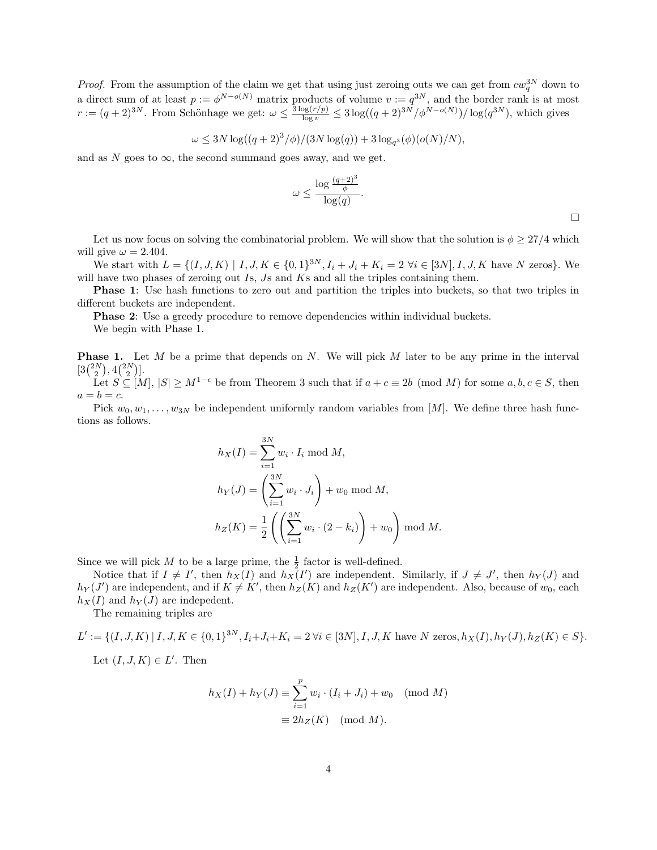*Proof.* From the assumption of the claim we get that using just zeroing outs we can get from  $cw_q^{3N}$  down to a direct sum of at least  $p := \phi^{N-o(N)}$  matrix products of volume  $v := q^{3N}$ , and the border rank is at most  $r := (q+2)^{3N}$ . From Schönhage we get:  $\omega \leq \frac{3 \log(r/p)}{\log v} \leq 3 \log((q+2)^{3N}/\phi^{N-o(N)})/\log(q^{3N})$ , which gives

$$
\omega \le 3N \log((q+2)^3/\phi)/(3N \log(q)) + 3 \log_{q^3}(\phi)(o(N)/N),
$$

and as N goes to  $\infty$ , the second summand goes away, and we get.

$$
\omega \leq \frac{\log \frac{(q+2)^3}{\phi}}{\log(q)}.
$$

 $\Box$ 

Let us now focus on solving the combinatorial problem. We will show that the solution is  $\phi \geq 27/4$  which will give  $\omega = 2.404$ .

We start with  $L = \{(I, J, K) \mid I, J, K \in \{0, 1\}^{3N}, I_i + J_i + K_i = 2 \ \forall i \in [3N], I, J, K$  have N zeros}. We will have two phases of zeroing out Is, Js and Ks and all the triples containing them.

Phase 1: Use hash functions to zero out and partition the triples into buckets, so that two triples in different buckets are independent.

**Phase 2:** Use a greedy procedure to remove dependencies within individual buckets.

We begin with Phase 1.

**Phase 1.** Let M be a prime that depends on N. We will pick M later to be any prime in the interval  $[3{2N \choose 2}, 4{2N \choose 2}].$ Let  $S \subseteq [M], |S| \ge M^{1-\epsilon}$  be from Theorem 3 such that if  $a + c \equiv 2b \pmod{M}$  for some  $a, b, c \in S$ , then  $a = b = c$ .

Pick  $w_0, w_1, \ldots, w_{3N}$  be independent uniformly random variables from [M]. We define three hash functions as follows.

$$
h_X(I) = \sum_{i=1}^{3N} w_i \cdot I_i \mod M,
$$
  
\n
$$
h_Y(J) = \left(\sum_{i=1}^{3N} w_i \cdot J_i\right) + w_0 \mod M,
$$
  
\n
$$
h_Z(K) = \frac{1}{2} \left( \left(\sum_{i=1}^{3N} w_i \cdot (2 - k_i)\right) + w_0 \right) \mod M.
$$

Since we will pick M to be a large prime, the  $\frac{1}{2}$  factor is well-defined.

Notice that if  $I \neq I'$ , then  $h_X(I)$  and  $h_X(I')$  are independent. Similarly, if  $J \neq J'$ , then  $h_Y(J)$  and  $h_Y(J')$  are independent, and if  $K \neq K'$ , then  $h_Z(K)$  and  $h_Z(K')$  are independent. Also, because of  $w_0$ , each  $h_X(I)$  and  $h_Y(J)$  are indepedent.

The remaining triples are

$$
L' := \{ (I, J, K) \mid I, J, K \in \{0, 1\}^{3N}, I_i + J_i + K_i = 2 \,\forall i \in [3N], I, J, K \text{ have } N \text{ zeros}, h_X(I), h_Y(J), h_Z(K) \in S \}.
$$

Let  $(I, J, K) \in L'$ . Then

$$
h_X(I) + h_Y(J) \equiv \sum_{i=1}^p w_i \cdot (I_i + J_i) + w_0 \pmod{M}
$$

$$
\equiv 2h_Z(K) \pmod{M}.
$$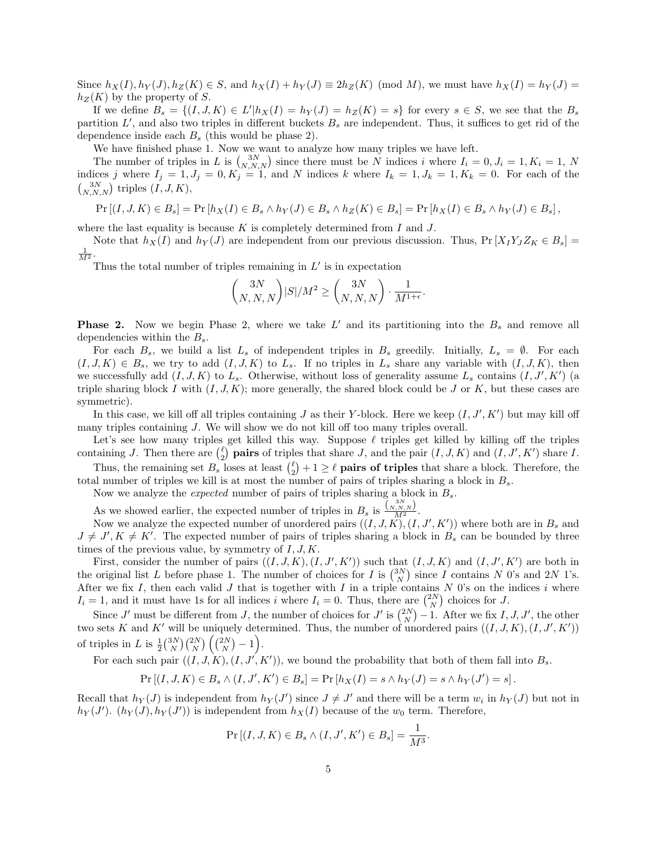Since  $h_X(I), h_Y(J), h_Z(K) \in S$ , and  $h_X(I) + h_Y(J) \equiv 2h_Z(K) \pmod{M}$ , we must have  $h_X(I) = h_Y(J)$  $h_Z(K)$  by the property of S.

If we define  $B_s = \{(I, J, K) \in L' | h_X(I) = h_Y(J) = h_Z(K) = s\}$  for every  $s \in S$ , we see that the  $B_s$ partition  $L'$ , and also two triples in different buckets  $B_s$  are independent. Thus, it suffices to get rid of the dependence inside each  $B_s$  (this would be phase 2).

We have finished phase 1. Now we want to analyze how many triples we have left.

The number of triples in L is  $\binom{3N}{N,N,N}$  since there must be N indices i where  $I_i = 0, J_i = 1, K_i = 1, N$ indices j where  $I_j = 1, J_j = 0, K_j = 1$ , and N indices k where  $I_k = 1, J_k = 1, K_k = 0$ . For each of the  $\binom{3N}{N,N,N}$  triples  $(I, J, K)$ ,

$$
\Pr\left[(I,J,K)\in B_s\right] = \Pr\left[h_X(I)\in B_s \land h_Y(J)\in B_s \land h_Z(K)\in B_s\right] = \Pr\left[h_X(I)\in B_s \land h_Y(J)\in B_s\right],
$$

where the last equality is because  $K$  is completely determined from  $I$  and  $J$ .

Note that  $h_X(I)$  and  $h_Y(J)$  are independent from our previous discussion. Thus,  $Pr[X_IX_IX_0 \in B_s] =$  $\frac{1}{M^2}$ .

Thus the total number of triples remaining in  $L'$  is in expectation

$$
\binom{3N}{N,N,N} |S|/M^2 \ge \binom{3N}{N,N,N} \cdot \frac{1}{M^{1+\epsilon}}.
$$

**Phase 2.** Now we begin Phase 2, where we take  $L'$  and its partitioning into the  $B_s$  and remove all dependencies within the  $B_s$ .

For each  $B_s$ , we build a list  $L_s$  of independent triples in  $B_s$  greedily. Initially,  $L_s = \emptyset$ . For each  $(I, J, K) \in B_s$ , we try to add  $(I, J, K)$  to  $L_s$ . If no triples in  $L_s$  share any variable with  $(I, J, K)$ , then we successfully add  $(I, J, K)$  to  $L_s$ . Otherwise, without loss of generality assume  $L_s$  contains  $(I, J', K')$  (a triple sharing block I with  $(I, J, K)$ ; more generally, the shared block could be J or K, but these cases are symmetric).

In this case, we kill off all triples containing  $J$  as their Y-block. Here we keep  $(I, J', K')$  but may kill off many triples containing J. We will show we do not kill off too many triples overall.

Let's see how many triples get killed this way. Suppose  $\ell$  triples get killed by killing off the triples containing J. Then there are  $\binom{\ell}{2}$  **pairs** of triples that share J, and the pair  $(I, J, K)$  and  $(I, J', K')$  share I.

Thus, the remaining set  $B_s$  loses at least  $\binom{\ell}{2} + 1 \geq \ell$  **pairs of triples** that share a block. Therefore, the total number of triples we kill is at most the number of pairs of triples sharing a block in  $B_s$ .

Now we analyze the *expected* number of pairs of triples sharing a block in  $B_s$ .

As we showed earlier, the expected number of triples in  $B_s$  is  $\frac{\binom{3N}{N,N,N}}{M^2}$ .

Now we analyze the expected number of unordered pairs  $((I, J, K), (I, J', K'))$  where both are in  $B_s$  and  $J \neq J', K \neq K'$ . The expected number of pairs of triples sharing a block in  $B_s$  can be bounded by three times of the previous value, by symmetry of  $I, J, K$ .

First, consider the number of pairs  $((I, J, K), (I, J', K'))$  such that  $(I, J, K)$  and  $(I, J', K')$  are both in the original list L before phase 1. The number of choices for I is  $\binom{3N}{N}$  since I contains N 0's and 2N 1's. After we fix I, then each valid J that is together with I in a triple contains N 0's on the indices i where  $I_i = 1$ , and it must have 1s for all indices i where  $I_i = 0$ . Thus, there are  $\binom{2N}{N}$  choices for J.

Since J' must be different from J, the number of choices for J' is  $\binom{2N}{N} - 1$ . After we fix I, J, J', the other two sets K and K' will be uniquely determined. Thus, the number of unordered pairs  $((I, J, K), (I, J', K'))$ of triples in L is  $\frac{1}{2} {N \choose N} {2N \choose N} {2N \choose N} - 1$ .

For each such pair  $((I, J, K), (I, J', K'))$ , we bound the probability that both of them fall into  $B_s$ .

$$
\Pr\left[(I,J,K)\in B_s \land (I,J',K')\in B_s\right] = \Pr\left[h_X(I) = s \land h_Y(J) = s \land h_Y(J') = s\right].
$$

Recall that  $h_Y(J)$  is independent from  $h_Y(J')$  since  $J \neq J'$  and there will be a term  $w_i$  in  $h_Y(J)$  but not in  $h_Y(J')$ .  $(h_Y(J), h_Y(J'))$  is independent from  $h_X(I)$  because of the  $w_0$  term. Therefore,

$$
\Pr[(I, J, K) \in B_s \land (I, J', K') \in B_s] = \frac{1}{M^3}.
$$